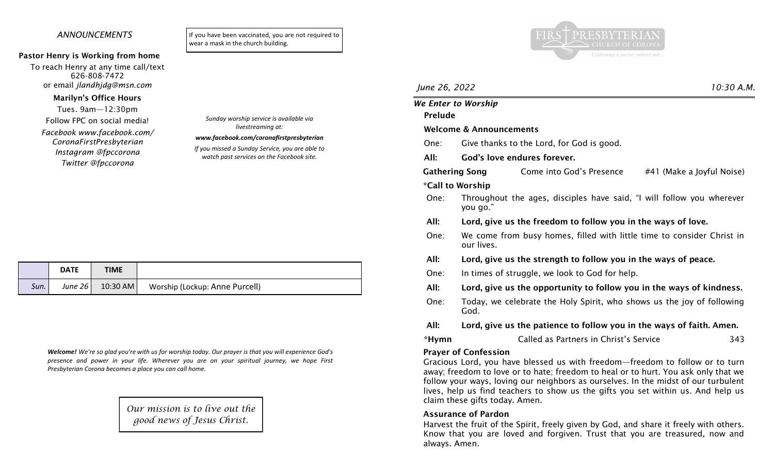### *ANNOUNCEMENTS*

#### Pastor Henry is Working from home

To reach Henry at any time call/text 626-808-7472 or email *jlandhjdg@msn.com*

#### Marilyn's Office Hours

Tues. 9am—12:30pm

Follow FPC on social media! *Facebook www.facebook.com/ CoronaFirstPresbyterian Instagram @fpccorona*

*Twitter @fpccorona*

If you have been vaccinated, you are not required to wear a mask in the church building.



# *June 26, 2022 10:30 A.M.*

# *We Enter to Worship* Prelude Welcome & Announcements One: Give thanks to the Lord, for God is good. All: God's love endures forever. Gathering Song Come into God's Presence #41 (Make a lovful Noise) \*Call to Worship One: Throughout the ages, disciples have said, "I will follow you wherever you go." All: Lord, give us the freedom to follow you in the ways of love. One: We come from busy homes, filled with little time to consider Christ in our lives. All: Lord, give us the strength to follow you in the ways of peace. One: In times of struggle, we look to God for help. All: Lord, give us the opportunity to follow you in the ways of kindness. One: Today, we celebrate the Holy Spirit, who shows us the joy of following God. All: Lord, give us the patience to follow you in the ways of faith. Amen. \*Hymn Called as Partners in Christ's Service 343 Prayer of Confession Gracious Lord, you have blessed us with freedom—freedom to follow or to turn away; freedom to love or to hate; freedom to heal or to hurt. You ask only that we follow your ways, loving our neighbors as ourselves. In the midst of our turbulent lives, help us find teachers to show us the gifts you set within us. And help us claim these gifts today. Amen.

### Assurance of Pardon

Harvest the fruit of the Spirit, freely given by God, and share it freely with others. Know that you are loved and forgiven. Trust that you are treasured, now and always. Amen.

*Sunday worship service is available via livestreaming at:*

# *www.facebook.com/coronafirstpresbyterian*

*If you missed a Sunday Service, you are able to watch past services on the Facebook site.*

|      | <b>DATE</b> | <b>TIME</b> |                                |
|------|-------------|-------------|--------------------------------|
| Sun. | June $261$  | $10:30$ AM  | Worship (Lockup: Anne Purcell) |

*Welcome! We're so glad you're with us for worship today. Our prayer is that you will experience God's presence and power in your life. Wherever you are on your spiritual journey, we hope First Presbyterian Corona becomes a place you can call home.*

> *Our mission is to live out the good news of Jesus Christ.*